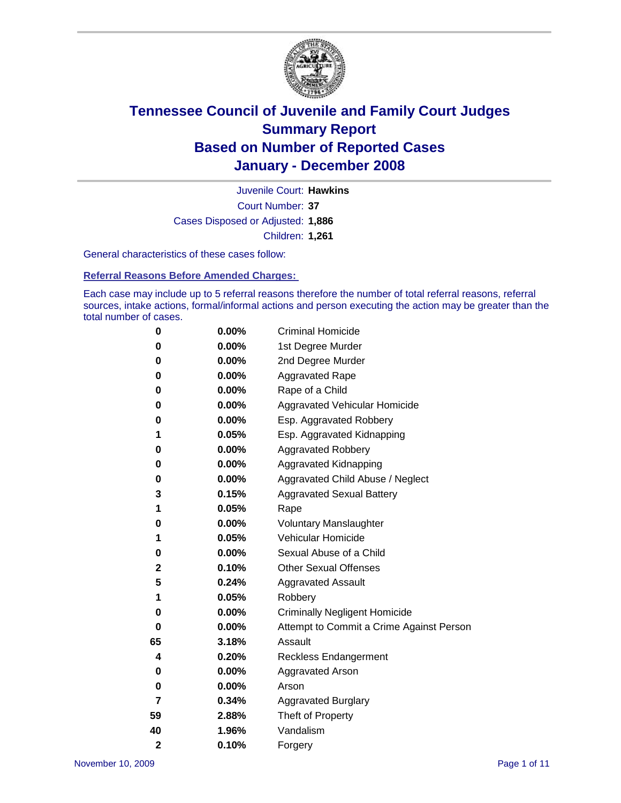

Court Number: **37** Juvenile Court: **Hawkins** Cases Disposed or Adjusted: **1,886** Children: **1,261**

General characteristics of these cases follow:

**Referral Reasons Before Amended Charges:** 

Each case may include up to 5 referral reasons therefore the number of total referral reasons, referral sources, intake actions, formal/informal actions and person executing the action may be greater than the total number of cases.

| 0              | 0.00%    | <b>Criminal Homicide</b>                 |
|----------------|----------|------------------------------------------|
| 0              | 0.00%    | 1st Degree Murder                        |
| 0              | $0.00\%$ | 2nd Degree Murder                        |
| 0              | 0.00%    | <b>Aggravated Rape</b>                   |
| 0              | 0.00%    | Rape of a Child                          |
| 0              | 0.00%    | Aggravated Vehicular Homicide            |
| 0              | 0.00%    | Esp. Aggravated Robbery                  |
| 1              | 0.05%    | Esp. Aggravated Kidnapping               |
| 0              | 0.00%    | <b>Aggravated Robbery</b>                |
| 0              | 0.00%    | Aggravated Kidnapping                    |
| 0              | 0.00%    | Aggravated Child Abuse / Neglect         |
| 3              | 0.15%    | <b>Aggravated Sexual Battery</b>         |
| 1              | 0.05%    | Rape                                     |
| 0              | 0.00%    | <b>Voluntary Manslaughter</b>            |
| 1              | 0.05%    | Vehicular Homicide                       |
| 0              | 0.00%    | Sexual Abuse of a Child                  |
| 2              | 0.10%    | <b>Other Sexual Offenses</b>             |
| 5              | 0.24%    | <b>Aggravated Assault</b>                |
| 1              | 0.05%    | Robbery                                  |
| 0              | 0.00%    | <b>Criminally Negligent Homicide</b>     |
| 0              | 0.00%    | Attempt to Commit a Crime Against Person |
| 65             | 3.18%    | Assault                                  |
| 4              | 0.20%    | <b>Reckless Endangerment</b>             |
| 0              | 0.00%    | <b>Aggravated Arson</b>                  |
| 0              | 0.00%    | Arson                                    |
| 7              | 0.34%    | <b>Aggravated Burglary</b>               |
| 59             | 2.88%    | Theft of Property                        |
| 40             | 1.96%    | Vandalism                                |
| $\overline{2}$ | 0.10%    | Forgery                                  |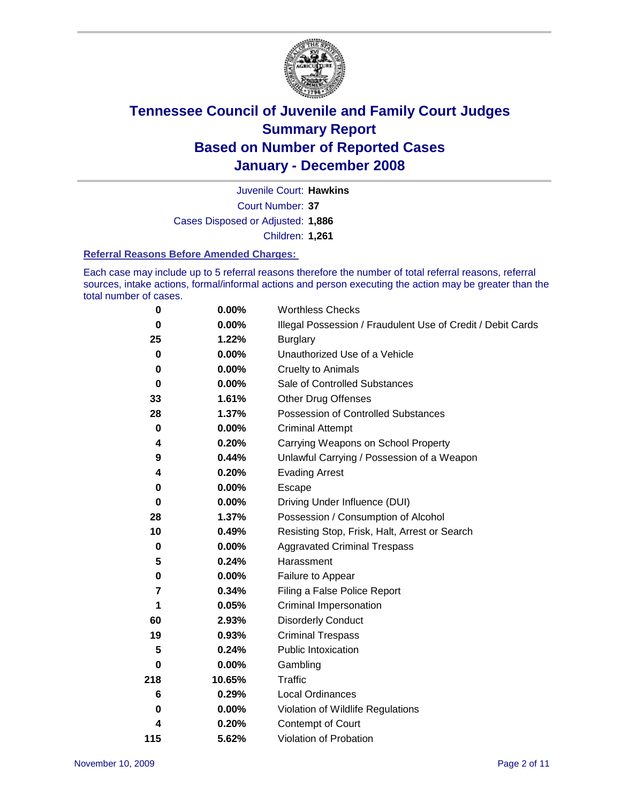

Court Number: **37** Juvenile Court: **Hawkins** Cases Disposed or Adjusted: **1,886** Children: **1,261**

#### **Referral Reasons Before Amended Charges:**

Each case may include up to 5 referral reasons therefore the number of total referral reasons, referral sources, intake actions, formal/informal actions and person executing the action may be greater than the total number of cases.

| 0         | 0.00%    | <b>Worthless Checks</b>                                     |
|-----------|----------|-------------------------------------------------------------|
| 0         | 0.00%    | Illegal Possession / Fraudulent Use of Credit / Debit Cards |
| 25        | 1.22%    | <b>Burglary</b>                                             |
| 0         | 0.00%    | Unauthorized Use of a Vehicle                               |
| 0         | $0.00\%$ | <b>Cruelty to Animals</b>                                   |
| $\bf{0}$  | 0.00%    | Sale of Controlled Substances                               |
| 33        | 1.61%    | <b>Other Drug Offenses</b>                                  |
| 28        | 1.37%    | <b>Possession of Controlled Substances</b>                  |
| $\pmb{0}$ | $0.00\%$ | <b>Criminal Attempt</b>                                     |
| 4         | 0.20%    | Carrying Weapons on School Property                         |
| 9         | 0.44%    | Unlawful Carrying / Possession of a Weapon                  |
| 4         | 0.20%    | <b>Evading Arrest</b>                                       |
| 0         | 0.00%    | Escape                                                      |
| 0         | 0.00%    | Driving Under Influence (DUI)                               |
| 28        | 1.37%    | Possession / Consumption of Alcohol                         |
| 10        | 0.49%    | Resisting Stop, Frisk, Halt, Arrest or Search               |
| 0         | 0.00%    | <b>Aggravated Criminal Trespass</b>                         |
| 5         | 0.24%    | Harassment                                                  |
| 0         | 0.00%    | Failure to Appear                                           |
| 7         | 0.34%    | Filing a False Police Report                                |
| 1         | 0.05%    | Criminal Impersonation                                      |
| 60        | 2.93%    | <b>Disorderly Conduct</b>                                   |
| 19        | 0.93%    | <b>Criminal Trespass</b>                                    |
| 5         | 0.24%    | Public Intoxication                                         |
| 0         | 0.00%    | Gambling                                                    |
| 218       | 10.65%   | Traffic                                                     |
| 6         | 0.29%    | Local Ordinances                                            |
| 0         | 0.00%    | Violation of Wildlife Regulations                           |
| 4         | 0.20%    | Contempt of Court                                           |
| 115       | 5.62%    | Violation of Probation                                      |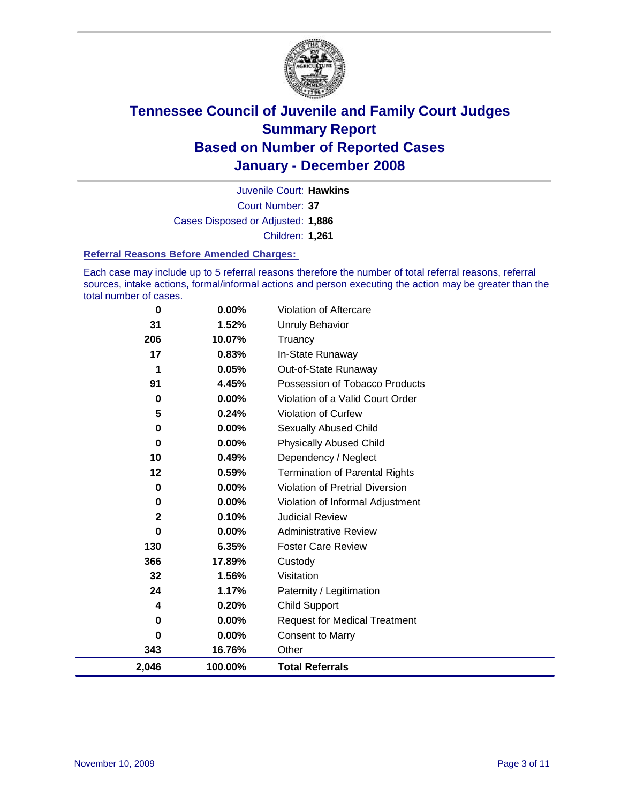

Court Number: **37** Juvenile Court: **Hawkins** Cases Disposed or Adjusted: **1,886** Children: **1,261**

#### **Referral Reasons Before Amended Charges:**

Each case may include up to 5 referral reasons therefore the number of total referral reasons, referral sources, intake actions, formal/informal actions and person executing the action may be greater than the total number of cases.

| 0            | 0.00%    | Violation of Aftercare                 |
|--------------|----------|----------------------------------------|
| 31           | 1.52%    | Unruly Behavior                        |
| 206          | 10.07%   | Truancy                                |
| 17           | 0.83%    | In-State Runaway                       |
| 1            | 0.05%    | Out-of-State Runaway                   |
| 91           | 4.45%    | Possession of Tobacco Products         |
| 0            | $0.00\%$ | Violation of a Valid Court Order       |
| 5            | 0.24%    | Violation of Curfew                    |
| $\mathbf 0$  | 0.00%    | Sexually Abused Child                  |
| 0            | 0.00%    | <b>Physically Abused Child</b>         |
| 10           | 0.49%    | Dependency / Neglect                   |
| 12           | 0.59%    | <b>Termination of Parental Rights</b>  |
| 0            | 0.00%    | <b>Violation of Pretrial Diversion</b> |
| 0            | 0.00%    | Violation of Informal Adjustment       |
| $\mathbf{2}$ | 0.10%    | <b>Judicial Review</b>                 |
| 0            | 0.00%    | <b>Administrative Review</b>           |
| 130          | 6.35%    | <b>Foster Care Review</b>              |
| 366          | 17.89%   | Custody                                |
| 32           | 1.56%    | Visitation                             |
| 24           | 1.17%    | Paternity / Legitimation               |
| 4            | 0.20%    | <b>Child Support</b>                   |
| 0            | 0.00%    | <b>Request for Medical Treatment</b>   |
| 0            | 0.00%    | <b>Consent to Marry</b>                |
| 343          | 16.76%   | Other                                  |
| 2,046        | 100.00%  | <b>Total Referrals</b>                 |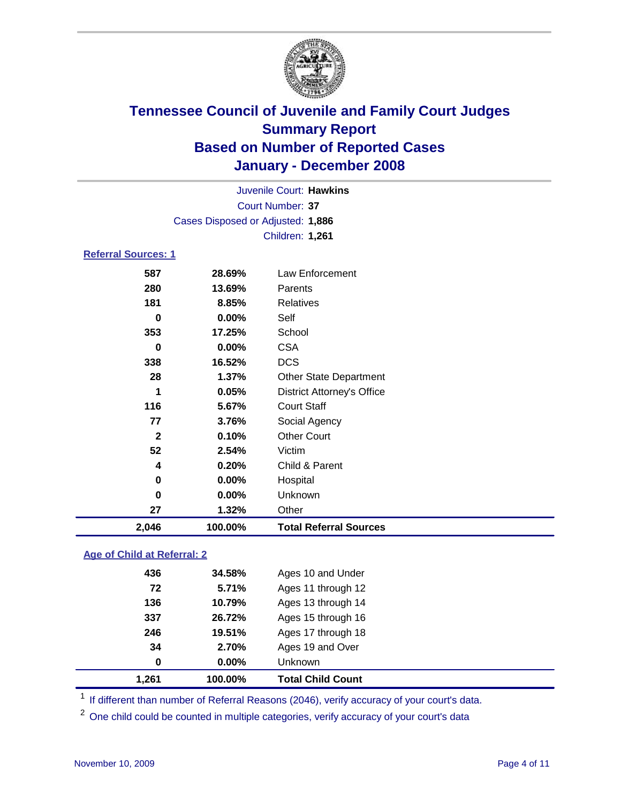

|                                   |          | Juvenile Court: Hawkins           |  |  |
|-----------------------------------|----------|-----------------------------------|--|--|
|                                   |          | Court Number: 37                  |  |  |
| Cases Disposed or Adjusted: 1,886 |          |                                   |  |  |
|                                   |          | <b>Children: 1,261</b>            |  |  |
| <b>Referral Sources: 1</b>        |          |                                   |  |  |
| 587                               | 28.69%   | Law Enforcement                   |  |  |
| 280                               | 13.69%   | Parents                           |  |  |
| 181                               | 8.85%    | Relatives                         |  |  |
| 0                                 | $0.00\%$ | Self                              |  |  |
| 353                               | 17.25%   | School                            |  |  |
| 0                                 | $0.00\%$ | <b>CSA</b>                        |  |  |
| 338                               | 16.52%   | <b>DCS</b>                        |  |  |
| 28                                | $1.37\%$ | <b>Other State Department</b>     |  |  |
| 1                                 | 0.05%    | <b>District Attorney's Office</b> |  |  |
| 116                               | 5.67%    | <b>Court Staff</b>                |  |  |
| 77                                | 3.76%    | Social Agency                     |  |  |

**0.10%** Other Court

 **0.00%** Hospital **0.00%** Unknown **1.32%** Other

**0.20%** Child & Parent

**2,046 100.00% Total Referral Sources**

### **Age of Child at Referral: 2**

| 1,261 | 100.00% | <b>Total Child Count</b> |  |
|-------|---------|--------------------------|--|
| 0     | 0.00%   | <b>Unknown</b>           |  |
| 34    | 2.70%   | Ages 19 and Over         |  |
| 246   | 19.51%  | Ages 17 through 18       |  |
| 337   | 26.72%  | Ages 15 through 16       |  |
| 136   | 10.79%  | Ages 13 through 14       |  |
| 72    | 5.71%   | Ages 11 through 12       |  |
| 436   | 34.58%  | Ages 10 and Under        |  |
|       |         |                          |  |

**2.54%** Victim

<sup>1</sup> If different than number of Referral Reasons (2046), verify accuracy of your court's data.

<sup>2</sup> One child could be counted in multiple categories, verify accuracy of your court's data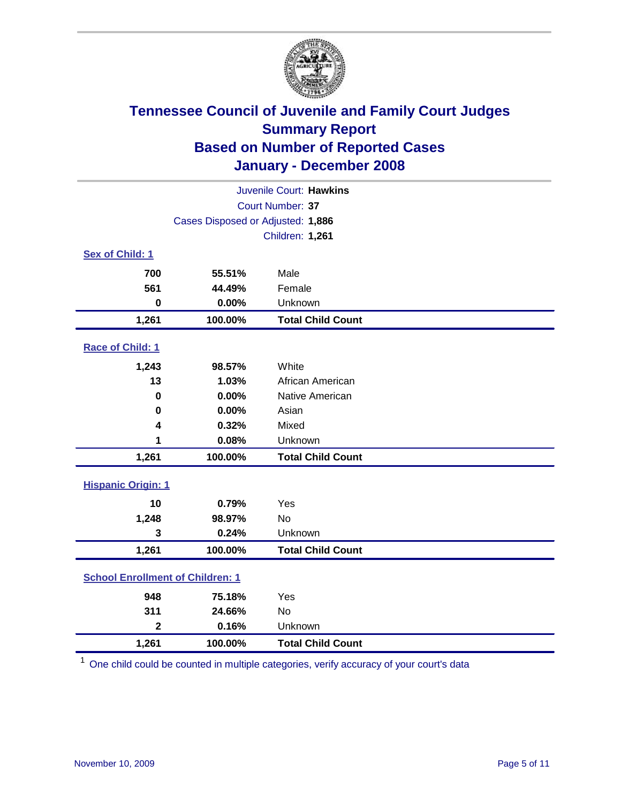

| Juvenile Court: Hawkins                 |                                   |                          |  |  |  |
|-----------------------------------------|-----------------------------------|--------------------------|--|--|--|
| Court Number: 37                        |                                   |                          |  |  |  |
|                                         | Cases Disposed or Adjusted: 1,886 |                          |  |  |  |
|                                         |                                   | Children: 1,261          |  |  |  |
| Sex of Child: 1                         |                                   |                          |  |  |  |
| 700                                     | 55.51%                            | Male                     |  |  |  |
| 561                                     | 44.49%                            | Female                   |  |  |  |
| $\bf{0}$                                | 0.00%                             | Unknown                  |  |  |  |
| 1,261                                   | 100.00%                           | <b>Total Child Count</b> |  |  |  |
| Race of Child: 1                        |                                   |                          |  |  |  |
| 1,243                                   | 98.57%                            | White                    |  |  |  |
| 13                                      | 1.03%                             | African American         |  |  |  |
| 0                                       | 0.00%                             | Native American          |  |  |  |
| 0                                       | 0.00%                             | Asian                    |  |  |  |
| 4                                       | 0.32%                             | Mixed                    |  |  |  |
| 1                                       | 0.08%                             | Unknown                  |  |  |  |
| 1,261                                   | 100.00%                           | <b>Total Child Count</b> |  |  |  |
| <b>Hispanic Origin: 1</b>               |                                   |                          |  |  |  |
| 10                                      | 0.79%                             | Yes                      |  |  |  |
| 1,248                                   | 98.97%                            | No                       |  |  |  |
| 3                                       | 0.24%                             | Unknown                  |  |  |  |
| 1,261                                   | 100.00%                           | <b>Total Child Count</b> |  |  |  |
| <b>School Enrollment of Children: 1</b> |                                   |                          |  |  |  |
| 948                                     |                                   |                          |  |  |  |
| 311                                     | 75.18%<br>24.66%                  | Yes<br>No                |  |  |  |
| $\overline{\mathbf{2}}$                 | 0.16%                             | Unknown                  |  |  |  |
| 1,261                                   | 100.00%                           | <b>Total Child Count</b> |  |  |  |
|                                         |                                   |                          |  |  |  |

<sup>1</sup> One child could be counted in multiple categories, verify accuracy of your court's data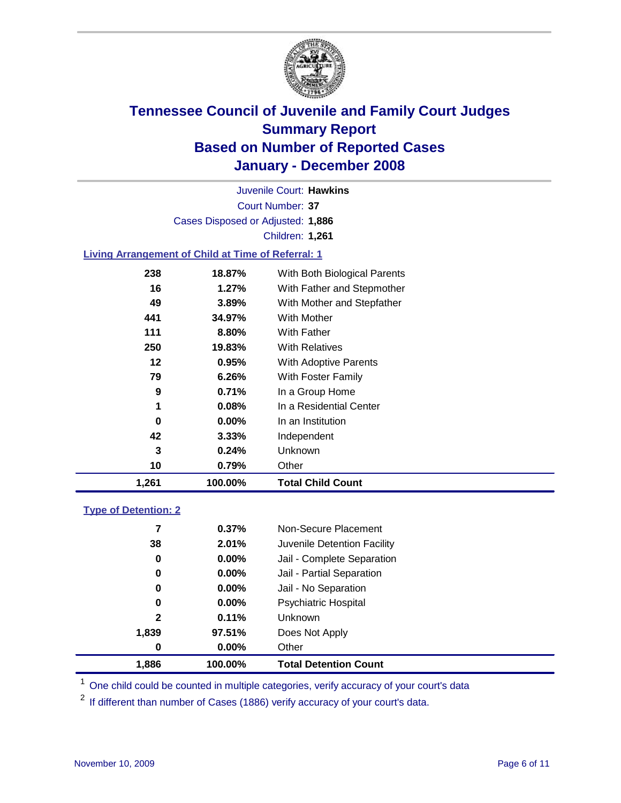

Court Number: **37** Juvenile Court: **Hawkins** Cases Disposed or Adjusted: **1,886** Children: **1,261**

### **Living Arrangement of Child at Time of Referral: 1**

| 1,261 | 100.00%  | <b>Total Child Count</b>     |
|-------|----------|------------------------------|
| 10    | 0.79%    | Other                        |
| 3     | 0.24%    | Unknown                      |
| 42    | $3.33\%$ | Independent                  |
| 0     | 0.00%    | In an Institution            |
| 1     | 0.08%    | In a Residential Center      |
| 9     | 0.71%    | In a Group Home              |
| 79    | 6.26%    | With Foster Family           |
| 12    | 0.95%    | With Adoptive Parents        |
| 250   | 19.83%   | <b>With Relatives</b>        |
| 111   | 8.80%    | <b>With Father</b>           |
| 441   | 34.97%   | With Mother                  |
| 49    | 3.89%    | With Mother and Stepfather   |
| 16    | $1.27\%$ | With Father and Stepmother   |
| 238   | 18.87%   | With Both Biological Parents |
|       |          |                              |

#### **Type of Detention: 2**

| 1.886        | 100.00%  | <b>Total Detention Count</b> |  |
|--------------|----------|------------------------------|--|
| 0            | $0.00\%$ | Other                        |  |
| 1,839        | 97.51%   | Does Not Apply               |  |
| $\mathbf{2}$ | 0.11%    | <b>Unknown</b>               |  |
| 0            | 0.00%    | <b>Psychiatric Hospital</b>  |  |
| 0            | $0.00\%$ | Jail - No Separation         |  |
| 0            | $0.00\%$ | Jail - Partial Separation    |  |
| 0            | $0.00\%$ | Jail - Complete Separation   |  |
| 38           | 2.01%    | Juvenile Detention Facility  |  |
| 7            | 0.37%    | Non-Secure Placement         |  |
|              |          |                              |  |

<sup>1</sup> One child could be counted in multiple categories, verify accuracy of your court's data

<sup>2</sup> If different than number of Cases (1886) verify accuracy of your court's data.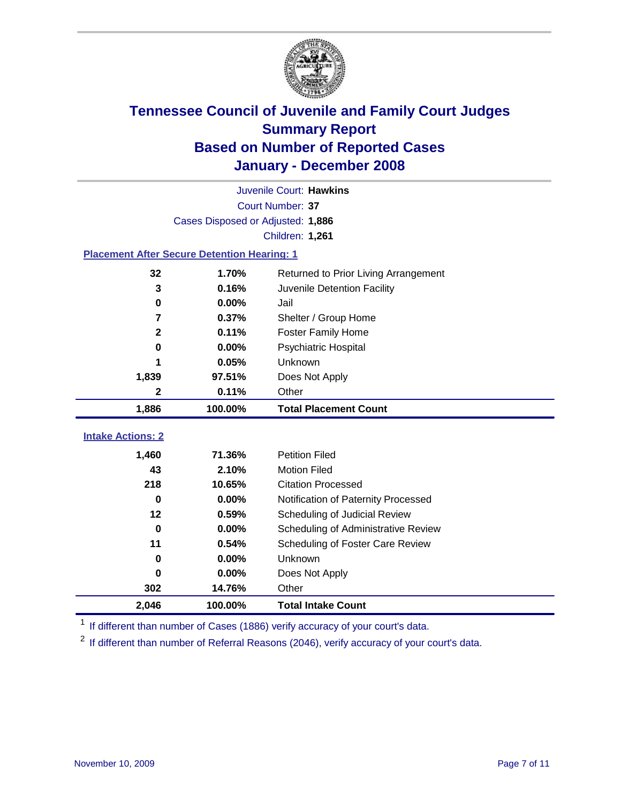

| Juvenile Court: Hawkins  |                                                    |                                                                      |  |  |  |
|--------------------------|----------------------------------------------------|----------------------------------------------------------------------|--|--|--|
|                          | Court Number: 37                                   |                                                                      |  |  |  |
|                          | Cases Disposed or Adjusted: 1,886                  |                                                                      |  |  |  |
|                          |                                                    | <b>Children: 1,261</b>                                               |  |  |  |
|                          | <b>Placement After Secure Detention Hearing: 1</b> |                                                                      |  |  |  |
| 32                       | 1.70%                                              | Returned to Prior Living Arrangement                                 |  |  |  |
| 3                        | 0.16%                                              | Juvenile Detention Facility                                          |  |  |  |
| $\bf{0}$                 | 0.00%                                              | Jail                                                                 |  |  |  |
| 7                        | 0.37%                                              | Shelter / Group Home                                                 |  |  |  |
| $\overline{\mathbf{2}}$  | 0.11%                                              | <b>Foster Family Home</b>                                            |  |  |  |
| $\bf{0}$                 | 0.00%                                              | Psychiatric Hospital                                                 |  |  |  |
|                          | 0.05%                                              | Unknown                                                              |  |  |  |
| 1,839                    | 97.51%                                             | Does Not Apply                                                       |  |  |  |
| 2                        | 0.11%                                              | Other                                                                |  |  |  |
|                          |                                                    |                                                                      |  |  |  |
| 1,886                    | 100.00%                                            | <b>Total Placement Count</b>                                         |  |  |  |
|                          |                                                    |                                                                      |  |  |  |
| <b>Intake Actions: 2</b> |                                                    |                                                                      |  |  |  |
| 1,460                    | 71.36%                                             | <b>Petition Filed</b>                                                |  |  |  |
| 43                       | 2.10%                                              | <b>Motion Filed</b>                                                  |  |  |  |
| 218<br>$\bf{0}$          | 10.65%<br>0.00%                                    | <b>Citation Processed</b>                                            |  |  |  |
| 12                       | 0.59%                                              | Notification of Paternity Processed                                  |  |  |  |
| $\bf{0}$                 | 0.00%                                              | Scheduling of Judicial Review<br>Scheduling of Administrative Review |  |  |  |
| 11                       | 0.54%                                              | Scheduling of Foster Care Review                                     |  |  |  |
| $\bf{0}$                 | 0.00%                                              | Unknown                                                              |  |  |  |
| 0                        | 0.00%                                              | Does Not Apply                                                       |  |  |  |
| 302                      | 14.76%                                             | Other                                                                |  |  |  |

<sup>1</sup> If different than number of Cases (1886) verify accuracy of your court's data.

<sup>2</sup> If different than number of Referral Reasons (2046), verify accuracy of your court's data.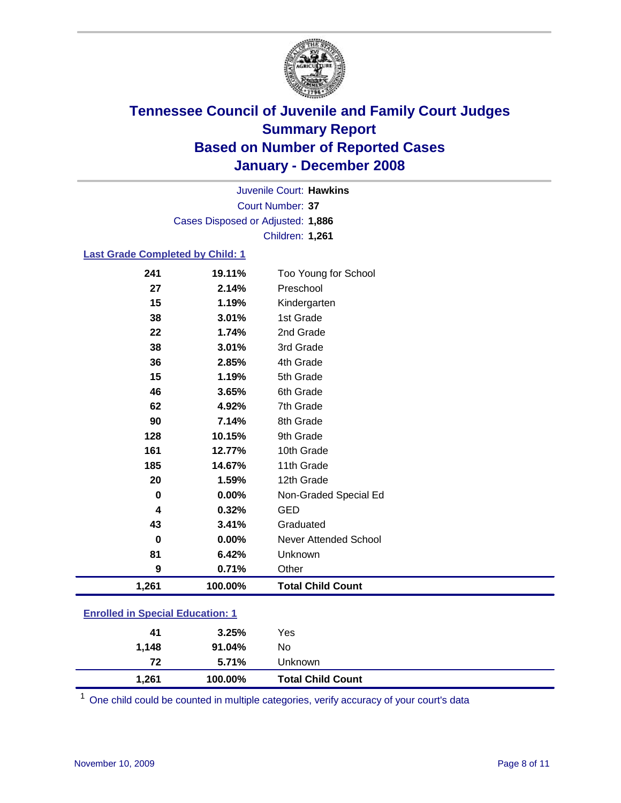

Court Number: **37** Juvenile Court: **Hawkins** Cases Disposed or Adjusted: **1,886** Children: **1,261**

#### **Last Grade Completed by Child: 1**

| 1,261    | 100.00% | <b>Total Child Count</b> |
|----------|---------|--------------------------|
| 9        | 0.71%   | Other                    |
| 81       | 6.42%   | Unknown                  |
| $\bf{0}$ | 0.00%   | Never Attended School    |
| 43       | 3.41%   | Graduated                |
| 4        | 0.32%   | <b>GED</b>               |
| 0        | 0.00%   | Non-Graded Special Ed    |
| 20       | 1.59%   | 12th Grade               |
| 185      | 14.67%  | 11th Grade               |
| 161      | 12.77%  | 10th Grade               |
| 128      | 10.15%  | 9th Grade                |
| 90       | 7.14%   | 8th Grade                |
| 62       | 4.92%   | 7th Grade                |
| 46       | 3.65%   | 6th Grade                |
| 15       | 1.19%   | 5th Grade                |
| 36       | 2.85%   | 4th Grade                |
| 38       | 3.01%   | 3rd Grade                |
| 22       | 1.74%   | 2nd Grade                |
| 38       | 3.01%   | 1st Grade                |
| 15       | 1.19%   | Kindergarten             |
| 27       | 2.14%   | Preschool                |
| 241      | 19.11%  | Too Young for School     |

### **Enrolled in Special Education: 1**

| 1,261 | 100.00% | <b>Total Child Count</b> |
|-------|---------|--------------------------|
| 72    | 5.71%   | Unknown                  |
| 1,148 | 91.04%  | No                       |
| 41    | 3.25%   | Yes                      |
|       |         |                          |

<sup>1</sup> One child could be counted in multiple categories, verify accuracy of your court's data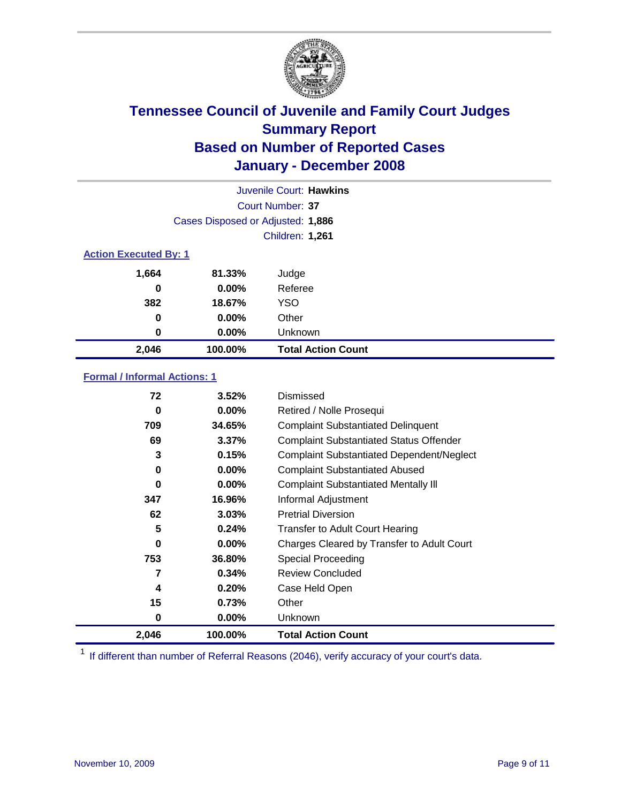

| Juvenile Court: Hawkins |                                   |                           |  |  |  |
|-------------------------|-----------------------------------|---------------------------|--|--|--|
|                         | Court Number: 37                  |                           |  |  |  |
|                         | Cases Disposed or Adjusted: 1,886 |                           |  |  |  |
|                         | Children: 1,261                   |                           |  |  |  |
|                         | <b>Action Executed By: 1</b>      |                           |  |  |  |
| 1,664                   | 81.33%                            | Judge                     |  |  |  |
| 0                       | $0.00\%$                          | Referee                   |  |  |  |
| 382                     | 18.67%                            | <b>YSO</b>                |  |  |  |
| 0                       | 0.00%                             | Other                     |  |  |  |
| 0                       | $0.00\%$                          | Unknown                   |  |  |  |
| 2,046                   | 100.00%                           | <b>Total Action Count</b> |  |  |  |

### **Formal / Informal Actions: 1**

| 72    | 3.52%    | Dismissed                                        |
|-------|----------|--------------------------------------------------|
| 0     | 0.00%    | Retired / Nolle Prosequi                         |
| 709   | 34.65%   | <b>Complaint Substantiated Delinquent</b>        |
| 69    | 3.37%    | <b>Complaint Substantiated Status Offender</b>   |
| 3     | 0.15%    | <b>Complaint Substantiated Dependent/Neglect</b> |
| 0     | 0.00%    | <b>Complaint Substantiated Abused</b>            |
| 0     | 0.00%    | <b>Complaint Substantiated Mentally III</b>      |
| 347   | 16.96%   | Informal Adjustment                              |
| 62    | 3.03%    | <b>Pretrial Diversion</b>                        |
| 5     | 0.24%    | <b>Transfer to Adult Court Hearing</b>           |
| 0     | $0.00\%$ | Charges Cleared by Transfer to Adult Court       |
| 753   | 36.80%   | Special Proceeding                               |
| 7     | 0.34%    | <b>Review Concluded</b>                          |
| 4     | 0.20%    | Case Held Open                                   |
| 15    | 0.73%    | Other                                            |
| 0     | $0.00\%$ | <b>Unknown</b>                                   |
| 2,046 | 100.00%  | <b>Total Action Count</b>                        |

<sup>1</sup> If different than number of Referral Reasons (2046), verify accuracy of your court's data.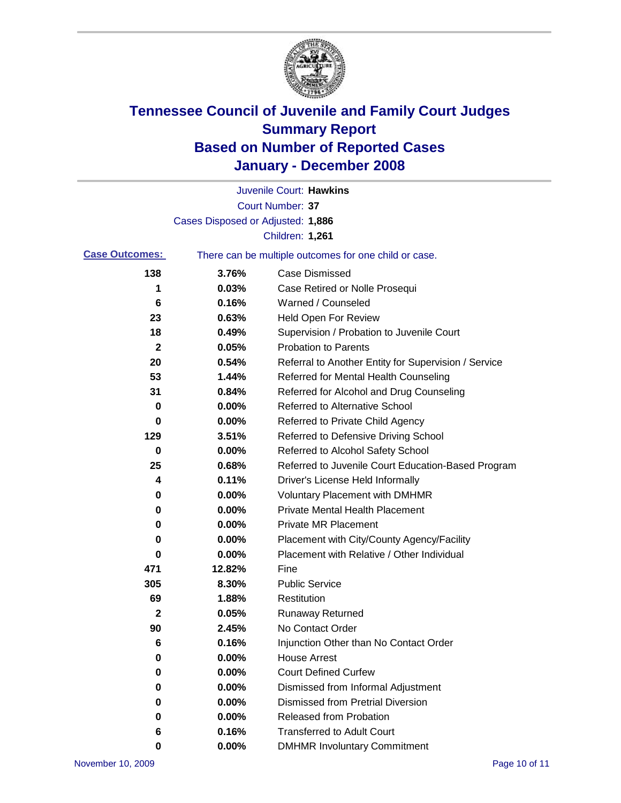

|                       |                                   | Juvenile Court: Hawkins                               |
|-----------------------|-----------------------------------|-------------------------------------------------------|
|                       |                                   | <b>Court Number: 37</b>                               |
|                       | Cases Disposed or Adjusted: 1,886 |                                                       |
|                       |                                   | <b>Children: 1,261</b>                                |
| <b>Case Outcomes:</b> |                                   | There can be multiple outcomes for one child or case. |
| 138                   | 3.76%                             | <b>Case Dismissed</b>                                 |
| 1                     | 0.03%                             | Case Retired or Nolle Prosequi                        |
| 6                     | 0.16%                             | Warned / Counseled                                    |
| 23                    | 0.63%                             | Held Open For Review                                  |
| 18                    | 0.49%                             | Supervision / Probation to Juvenile Court             |
| 2                     | 0.05%                             | <b>Probation to Parents</b>                           |
| 20                    | 0.54%                             | Referral to Another Entity for Supervision / Service  |
| 53                    | 1.44%                             | Referred for Mental Health Counseling                 |
| 31                    | 0.84%                             | Referred for Alcohol and Drug Counseling              |
| 0                     | 0.00%                             | <b>Referred to Alternative School</b>                 |
| 0                     | 0.00%                             | Referred to Private Child Agency                      |
| 129                   | 3.51%                             | Referred to Defensive Driving School                  |
| 0                     | 0.00%                             | Referred to Alcohol Safety School                     |
| 25                    | 0.68%                             | Referred to Juvenile Court Education-Based Program    |
| 4                     | 0.11%                             | Driver's License Held Informally                      |
| 0                     | 0.00%                             | <b>Voluntary Placement with DMHMR</b>                 |
| 0                     | 0.00%                             | <b>Private Mental Health Placement</b>                |
| 0                     | 0.00%                             | <b>Private MR Placement</b>                           |
| 0                     | 0.00%                             | Placement with City/County Agency/Facility            |
| 0                     | 0.00%                             | Placement with Relative / Other Individual            |
| 471                   | 12.82%                            | Fine                                                  |
| 305                   | 8.30%                             | <b>Public Service</b>                                 |
| 69                    | 1.88%                             | Restitution                                           |
| $\mathbf 2$           | 0.05%                             | <b>Runaway Returned</b>                               |
| 90                    | 2.45%                             | No Contact Order                                      |
| 6                     | 0.16%                             | Injunction Other than No Contact Order                |
| 0                     | 0.00%                             | <b>House Arrest</b>                                   |
| 0                     | 0.00%                             | <b>Court Defined Curfew</b>                           |
| 0                     | 0.00%                             | Dismissed from Informal Adjustment                    |
| 0                     | 0.00%                             | <b>Dismissed from Pretrial Diversion</b>              |
| 0                     | 0.00%                             | <b>Released from Probation</b>                        |
| 6                     | 0.16%                             | <b>Transferred to Adult Court</b>                     |
| 0                     | 0.00%                             | <b>DMHMR Involuntary Commitment</b>                   |